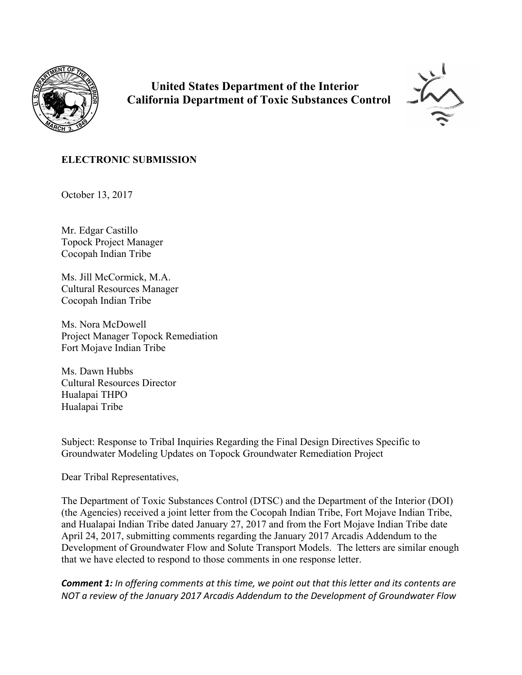

 **United States Department of the Interior California Department of Toxic Substances Control**



## **ELECTRONIC SUBMISSION**

October 13, 2017

Mr. Edgar Castillo Topock Project Manager Cocopah Indian Tribe

Ms. Jill McCormick, M.A. Cultural Resources Manager Cocopah Indian Tribe

Ms. Nora McDowell Project Manager Topock Remediation Fort Mojave Indian Tribe

Ms. Dawn Hubbs Cultural Resources Director Hualapai THPO Hualapai Tribe

Subject: Response to Tribal Inquiries Regarding the Final Design Directives Specific to Groundwater Modeling Updates on Topock Groundwater Remediation Project

Dear Tribal Representatives,

The Department of Toxic Substances Control (DTSC) and the Department of the Interior (DOI) (the Agencies) received a joint letter from the Cocopah Indian Tribe, Fort Mojave Indian Tribe, and Hualapai Indian Tribe dated January 27, 2017 and from the Fort Mojave Indian Tribe date April 24, 2017, submitting comments regarding the January 2017 Arcadis Addendum to the Development of Groundwater Flow and Solute Transport Models. The letters are similar enough that we have elected to respond to those comments in one response letter.

*Comment 1: In offering comments at this time, we point out that this letter and its contents are NOT a review of the January 2017 Arcadis Addendum to the Development of Groundwater Flow*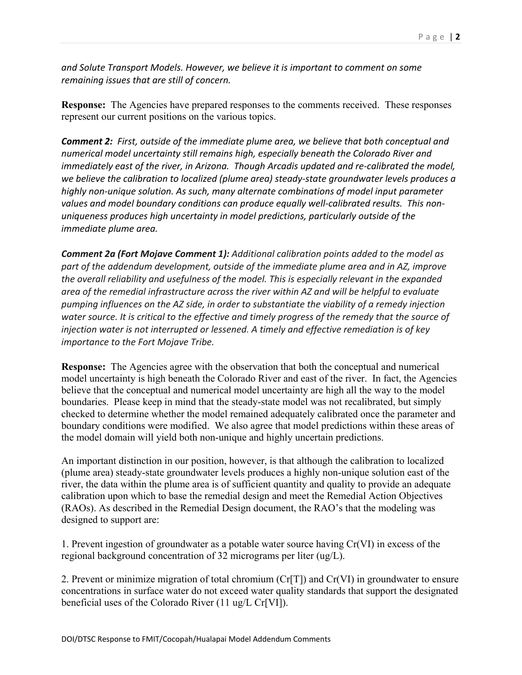*and Solute Transport Models. However, we believe it is important to comment on some remaining issues that are still of concern.* 

**Response:** The Agencies have prepared responses to the comments received. These responses represent our current positions on the various topics.

*Comment 2: First, outside of the immediate plume area, we believe that both conceptual and numerical model uncertainty still remains high, especially beneath the Colorado River and immediately east of the river, in Arizona. Though Arcadis updated and re-calibrated the model, we believe the calibration to localized (plume area) steady-state groundwater levels produces a highly non-unique solution. As such, many alternate combinations of model input parameter values and model boundary conditions can produce equally well-calibrated results. This nonuniqueness produces high uncertainty in model predictions, particularly outside of the immediate plume area.* 

*Comment 2a (Fort Mojave Comment 1): Additional calibration points added to the model as part of the addendum development, outside of the immediate plume area and in AZ, improve the overall reliability and usefulness of the model. This is especially relevant in the expanded area of the remedial infrastructure across the river within AZ and will be helpful to evaluate pumping influences on the AZ side, in order to substantiate the viability of a remedy injection water source. It is critical to the effective and timely progress of the remedy that the source of injection water is not interrupted or lessened. A timely and effective remediation is of key importance to the Fort Mojave Tribe.* 

**Response:** The Agencies agree with the observation that both the conceptual and numerical model uncertainty is high beneath the Colorado River and east of the river. In fact, the Agencies believe that the conceptual and numerical model uncertainty are high all the way to the model boundaries. Please keep in mind that the steady-state model was not recalibrated, but simply checked to determine whether the model remained adequately calibrated once the parameter and boundary conditions were modified. We also agree that model predictions within these areas of the model domain will yield both non-unique and highly uncertain predictions.

An important distinction in our position, however, is that although the calibration to localized (plume area) steady-state groundwater levels produces a highly non-unique solution east of the river, the data within the plume area is of sufficient quantity and quality to provide an adequate calibration upon which to base the remedial design and meet the Remedial Action Objectives (RAOs). As described in the Remedial Design document, the RAO's that the modeling was designed to support are:

1. Prevent ingestion of groundwater as a potable water source having Cr(VI) in excess of the regional background concentration of 32 micrograms per liter (ug/L).

2. Prevent or minimize migration of total chromium (Cr[T]) and Cr(VI) in groundwater to ensure concentrations in surface water do not exceed water quality standards that support the designated beneficial uses of the Colorado River (11 ug/L Cr[VI]).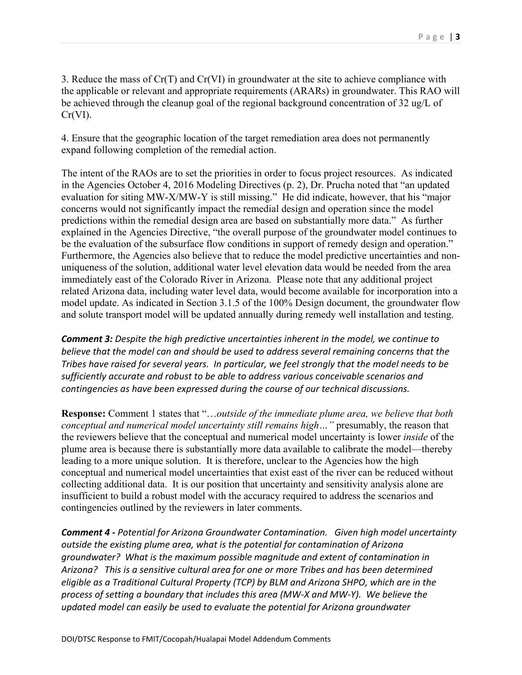3. Reduce the mass of Cr(T) and Cr(VI) in groundwater at the site to achieve compliance with the applicable or relevant and appropriate requirements (ARARs) in groundwater. This RAO will be achieved through the cleanup goal of the regional background concentration of 32 ug/L of Cr(VI).

4. Ensure that the geographic location of the target remediation area does not permanently expand following completion of the remedial action.

The intent of the RAOs are to set the priorities in order to focus project resources. As indicated in the Agencies October 4, 2016 Modeling Directives (p. 2), Dr. Prucha noted that "an updated evaluation for siting MW-X/MW-Y is still missing." He did indicate, however, that his "major concerns would not significantly impact the remedial design and operation since the model predictions within the remedial design area are based on substantially more data." As further explained in the Agencies Directive, "the overall purpose of the groundwater model continues to be the evaluation of the subsurface flow conditions in support of remedy design and operation." Furthermore, the Agencies also believe that to reduce the model predictive uncertainties and nonuniqueness of the solution, additional water level elevation data would be needed from the area immediately east of the Colorado River in Arizona. Please note that any additional project related Arizona data, including water level data, would become available for incorporation into a model update. As indicated in Section 3.1.5 of the 100% Design document, the groundwater flow and solute transport model will be updated annually during remedy well installation and testing.

*Comment 3: Despite the high predictive uncertainties inherent in the model, we continue to believe that the model can and should be used to address several remaining concerns that the Tribes have raised for several years. In particular, we feel strongly that the model needs to be sufficiently accurate and robust to be able to address various conceivable scenarios and contingencies as have been expressed during the course of our technical discussions.* 

**Response:** Comment 1 states that "…*outside of the immediate plume area, we believe that both conceptual and numerical model uncertainty still remains high…"* presumably, the reason that the reviewers believe that the conceptual and numerical model uncertainty is lower *inside* of the plume area is because there is substantially more data available to calibrate the model—thereby leading to a more unique solution. It is therefore, unclear to the Agencies how the high conceptual and numerical model uncertainties that exist east of the river can be reduced without collecting additional data. It is our position that uncertainty and sensitivity analysis alone are insufficient to build a robust model with the accuracy required to address the scenarios and contingencies outlined by the reviewers in later comments.

*Comment 4 - Potential for Arizona Groundwater Contamination. Given high model uncertainty outside the existing plume area, what is the potential for contamination of Arizona groundwater? What is the maximum possible magnitude and extent of contamination in Arizona? This is a sensitive cultural area for one or more Tribes and has been determined eligible as a Traditional Cultural Property (TCP) by BLM and Arizona SHPO, which are in the process of setting a boundary that includes this area (MW-X and MW-Y). We believe the updated model can easily be used to evaluate the potential for Arizona groundwater*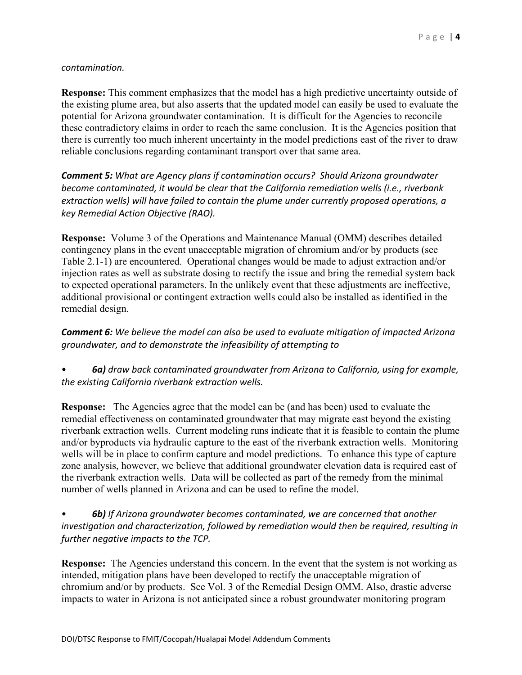## *contamination.*

**Response:** This comment emphasizes that the model has a high predictive uncertainty outside of the existing plume area, but also asserts that the updated model can easily be used to evaluate the potential for Arizona groundwater contamination. It is difficult for the Agencies to reconcile these contradictory claims in order to reach the same conclusion. It is the Agencies position that there is currently too much inherent uncertainty in the model predictions east of the river to draw reliable conclusions regarding contaminant transport over that same area.

*Comment 5: What are Agency plans if contamination occurs? Should Arizona groundwater become contaminated, it would be clear that the California remediation wells (i.e., riverbank extraction wells) will have failed to contain the plume under currently proposed operations, a key Remedial Action Objective (RAO).*

**Response:** Volume 3 of the Operations and Maintenance Manual (OMM) describes detailed contingency plans in the event unacceptable migration of chromium and/or by products (see Table 2.1-1) are encountered. Operational changes would be made to adjust extraction and/or injection rates as well as substrate dosing to rectify the issue and bring the remedial system back to expected operational parameters. In the unlikely event that these adjustments are ineffective, additional provisional or contingent extraction wells could also be installed as identified in the remedial design.

## *Comment 6: We believe the model can also be used to evaluate mitigation of impacted Arizona groundwater, and to demonstrate the infeasibility of attempting to*

• *6a) draw back contaminated groundwater from Arizona to California, using for example, the existing California riverbank extraction wells.*

**Response:** The Agencies agree that the model can be (and has been) used to evaluate the remedial effectiveness on contaminated groundwater that may migrate east beyond the existing riverbank extraction wells. Current modeling runs indicate that it is feasible to contain the plume and/or byproducts via hydraulic capture to the east of the riverbank extraction wells. Monitoring wells will be in place to confirm capture and model predictions. To enhance this type of capture zone analysis, however, we believe that additional groundwater elevation data is required east of the riverbank extraction wells. Data will be collected as part of the remedy from the minimal number of wells planned in Arizona and can be used to refine the model.

• *6b) If Arizona groundwater becomes contaminated, we are concerned that another investigation and characterization, followed by remediation would then be required, resulting in further negative impacts to the TCP.* 

**Response:** The Agencies understand this concern. In the event that the system is not working as intended, mitigation plans have been developed to rectify the unacceptable migration of chromium and/or by products. See Vol. 3 of the Remedial Design OMM. Also, drastic adverse impacts to water in Arizona is not anticipated since a robust groundwater monitoring program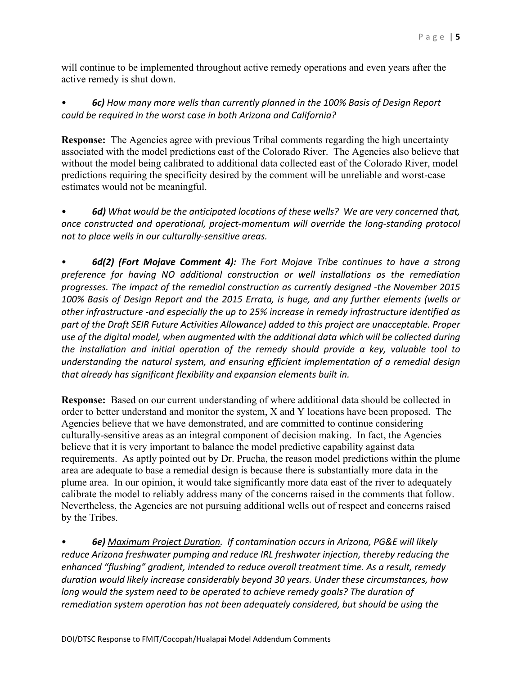will continue to be implemented throughout active remedy operations and even years after the active remedy is shut down.

• *6c) How many more wells than currently planned in the 100% Basis of Design Report could be required in the worst case in both Arizona and California?*

**Response:** The Agencies agree with previous Tribal comments regarding the high uncertainty associated with the model predictions east of the Colorado River. The Agencies also believe that without the model being calibrated to additional data collected east of the Colorado River, model predictions requiring the specificity desired by the comment will be unreliable and worst-case estimates would not be meaningful.

• *6d) What would be the anticipated locations of these wells? We are very concerned that, once constructed and operational, project-momentum will override the long-standing protocol not to place wells in our culturally-sensitive areas.* 

• *6d(2) (Fort Mojave Comment 4): The Fort Mojave Tribe continues to have a strong preference for having NO additional construction or well installations as the remediation progresses. The impact of the remedial construction as currently designed -the November 2015 100% Basis of Design Report and the 2015 Errata, is huge, and any further elements (wells or other infrastructure -and especially the up to 25% increase in remedy infrastructure identified as part of the Draft SEIR Future Activities Allowance) added to this project are unacceptable. Proper use of the digital model, when augmented with the additional data which will be collected during the installation and initial operation of the remedy should provide a key, valuable tool to understanding the natural system, and ensuring efficient implementation of a remedial design that already has significant flexibility and expansion elements built in.* 

**Response:** Based on our current understanding of where additional data should be collected in order to better understand and monitor the system, X and Y locations have been proposed. The Agencies believe that we have demonstrated, and are committed to continue considering culturally-sensitive areas as an integral component of decision making. In fact, the Agencies believe that it is very important to balance the model predictive capability against data requirements. As aptly pointed out by Dr. Prucha, the reason model predictions within the plume area are adequate to base a remedial design is because there is substantially more data in the plume area. In our opinion, it would take significantly more data east of the river to adequately calibrate the model to reliably address many of the concerns raised in the comments that follow. Nevertheless, the Agencies are not pursuing additional wells out of respect and concerns raised by the Tribes.

• *6e) Maximum Project Duration. If contamination occurs in Arizona, PG&E will likely reduce Arizona freshwater pumping and reduce IRL freshwater injection, thereby reducing the enhanced "flushing" gradient, intended to reduce overall treatment time. As a result, remedy duration would likely increase considerably beyond 30 years. Under these circumstances, how long would the system need to be operated to achieve remedy goals? The duration of remediation system operation has not been adequately considered, but should be using the*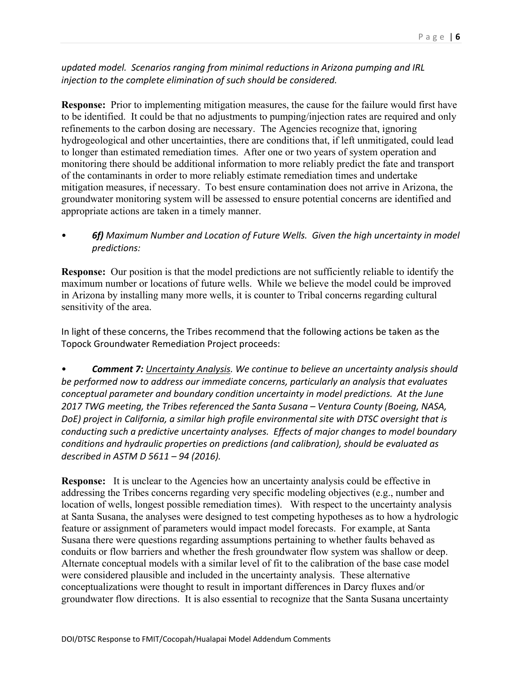*updated model. Scenarios ranging from minimal reductions in Arizona pumping and IRL injection to the complete elimination of such should be considered.*

**Response:** Prior to implementing mitigation measures, the cause for the failure would first have to be identified. It could be that no adjustments to pumping/injection rates are required and only refinements to the carbon dosing are necessary. The Agencies recognize that, ignoring hydrogeological and other uncertainties, there are conditions that, if left unmitigated, could lead to longer than estimated remediation times. After one or two years of system operation and monitoring there should be additional information to more reliably predict the fate and transport of the contaminants in order to more reliably estimate remediation times and undertake mitigation measures, if necessary. To best ensure contamination does not arrive in Arizona, the groundwater monitoring system will be assessed to ensure potential concerns are identified and appropriate actions are taken in a timely manner.

• *6f) Maximum Number and Location of Future Wells. Given the high uncertainty in model predictions:* 

**Response:** Our position is that the model predictions are not sufficiently reliable to identify the maximum number or locations of future wells. While we believe the model could be improved in Arizona by installing many more wells, it is counter to Tribal concerns regarding cultural sensitivity of the area.

In light of these concerns, the Tribes recommend that the following actions be taken as the Topock Groundwater Remediation Project proceeds:

• *Comment 7: Uncertainty Analysis. We continue to believe an uncertainty analysis should be performed now to address our immediate concerns, particularly an analysis that evaluates conceptual parameter and boundary condition uncertainty in model predictions. At the June 2017 TWG meeting, the Tribes referenced the Santa Susana – Ventura County (Boeing, NASA, DoE) project in California, a similar high profile environmental site with DTSC oversight that is conducting such a predictive uncertainty analyses. Effects of major changes to model boundary conditions and hydraulic properties on predictions (and calibration), should be evaluated as described in ASTM D 5611 – 94 (2016).* 

**Response:** It is unclear to the Agencies how an uncertainty analysis could be effective in addressing the Tribes concerns regarding very specific modeling objectives (e.g., number and location of wells, longest possible remediation times). With respect to the uncertainty analysis at Santa Susana, the analyses were designed to test competing hypotheses as to how a hydrologic feature or assignment of parameters would impact model forecasts. For example, at Santa Susana there were questions regarding assumptions pertaining to whether faults behaved as conduits or flow barriers and whether the fresh groundwater flow system was shallow or deep. Alternate conceptual models with a similar level of fit to the calibration of the base case model were considered plausible and included in the uncertainty analysis. These alternative conceptualizations were thought to result in important differences in Darcy fluxes and/or groundwater flow directions. It is also essential to recognize that the Santa Susana uncertainty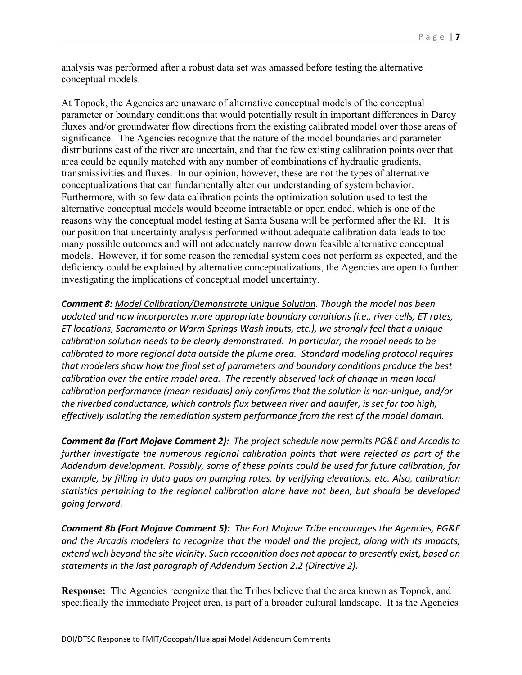analysis was performed after a robust data set was amassed before testing the alternative conceptual models.

At Topock, the Agencies are unaware of alternative conceptual models of the conceptual parameter or boundary conditions that would potentially result in important differences in Darcy fluxes and/or groundwater flow directions from the existing calibrated model over those areas of significance. The Agencies recognize that the nature of the model boundaries and parameter distributions east of the river are uncertain, and that the few existing calibration points over that area could be equally matched with any number of combinations of hydraulic gradients, transmissivities and fluxes. In our opinion, however, these are not the types of alternative conceptualizations that can fundamentally alter our understanding of system behavior. Furthermore, with so few data calibration points the optimization solution used to test the alternative conceptual models would become intractable or open ended, which is one of the reasons why the conceptual model testing at Santa Susana will be performed after the RI. It is our position that uncertainty analysis performed without adequate calibration data leads to too many possible outcomes and will not adequately narrow down feasible alternative conceptual models. However, if for some reason the remedial system does not perform as expected, and the deficiency could be explained by alternative conceptualizations, the Agencies are open to further investigating the implications of conceptual model uncertainty.

*Comment 8: Model Calibration/Demonstrate Unique Solution. Though the model has been updated and now incorporates more appropriate boundary conditions (i.e., river cells, ET rates, ET locations, Sacramento or Warm Springs Wash inputs, etc.), we strongly feel that a unique calibration solution needs to be clearly demonstrated. In particular, the model needs to be calibrated to more regional data outside the plume area. Standard modeling protocol requires that modelers show how the final set of parameters and boundary conditions produce the best calibration over the entire model area. The recently observed lack of change in mean local calibration performance (mean residuals) only confirms that the solution is non-unique, and/or the riverbed conductance, which controls flux between river and aquifer, is set far too high, effectively isolating the remediation system performance from the rest of the model domain.* 

*Comment 8a (Fort Mojave Comment 2): The project schedule now permits PG&E and Arcadis to further investigate the numerous regional calibration points that were rejected as part of the Addendum development. Possibly, some of these points could be used for future calibration, for example, by filling in data gaps on pumping rates, by verifying elevations, etc. Also, calibration statistics pertaining to the regional calibration alone have not been, but should be developed going forward.*

*Comment 8b (Fort Mojave Comment 5): The Fort Mojave Tribe encourages the Agencies, PG&E and the Arcadis modelers to recognize that the model and the project, along with its impacts, extend well beyond the site vicinity. Such recognition does not appear to presently exist, based on statements in the last paragraph of Addendum Section 2.2 (Directive 2).* 

**Response:** The Agencies recognize that the Tribes believe that the area known as Topock, and specifically the immediate Project area, is part of a broader cultural landscape. It is the Agencies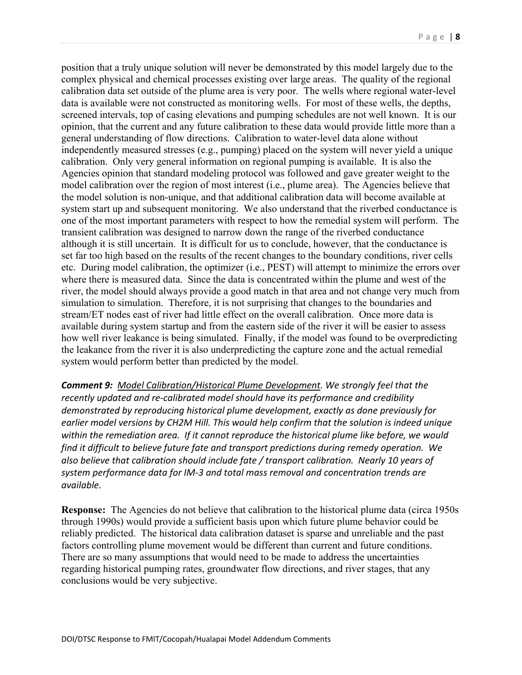position that a truly unique solution will never be demonstrated by this model largely due to the complex physical and chemical processes existing over large areas. The quality of the regional calibration data set outside of the plume area is very poor. The wells where regional water-level data is available were not constructed as monitoring wells. For most of these wells, the depths, screened intervals, top of casing elevations and pumping schedules are not well known. It is our opinion, that the current and any future calibration to these data would provide little more than a general understanding of flow directions. Calibration to water-level data alone without independently measured stresses (e.g., pumping) placed on the system will never yield a unique calibration. Only very general information on regional pumping is available. It is also the Agencies opinion that standard modeling protocol was followed and gave greater weight to the model calibration over the region of most interest (i.e., plume area). The Agencies believe that the model solution is non-unique, and that additional calibration data will become available at system start up and subsequent monitoring. We also understand that the riverbed conductance is one of the most important parameters with respect to how the remedial system will perform. The transient calibration was designed to narrow down the range of the riverbed conductance although it is still uncertain. It is difficult for us to conclude, however, that the conductance is set far too high based on the results of the recent changes to the boundary conditions, river cells etc. During model calibration, the optimizer (i.e., PEST) will attempt to minimize the errors over where there is measured data. Since the data is concentrated within the plume and west of the river, the model should always provide a good match in that area and not change very much from simulation to simulation. Therefore, it is not surprising that changes to the boundaries and stream/ET nodes east of river had little effect on the overall calibration. Once more data is available during system startup and from the eastern side of the river it will be easier to assess how well river leakance is being simulated. Finally, if the model was found to be overpredicting the leakance from the river it is also underpredicting the capture zone and the actual remedial system would perform better than predicted by the model.

*Comment 9: Model Calibration/Historical Plume Development. We strongly feel that the recently updated and re-calibrated model should have its performance and credibility demonstrated by reproducing historical plume development, exactly as done previously for earlier model versions by CH2M Hill. This would help confirm that the solution is indeed unique within the remediation area. If it cannot reproduce the historical plume like before, we would find it difficult to believe future fate and transport predictions during remedy operation. We also believe that calibration should include fate / transport calibration. Nearly 10 years of system performance data for IM-3 and total mass removal and concentration trends are available.* 

**Response:** The Agencies do not believe that calibration to the historical plume data (circa 1950s through 1990s) would provide a sufficient basis upon which future plume behavior could be reliably predicted. The historical data calibration dataset is sparse and unreliable and the past factors controlling plume movement would be different than current and future conditions. There are so many assumptions that would need to be made to address the uncertainties regarding historical pumping rates, groundwater flow directions, and river stages, that any conclusions would be very subjective.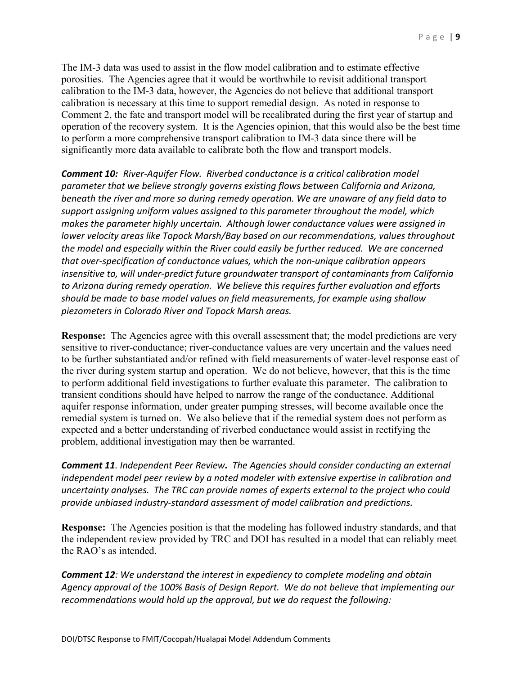The IM-3 data was used to assist in the flow model calibration and to estimate effective porosities. The Agencies agree that it would be worthwhile to revisit additional transport calibration to the IM-3 data, however, the Agencies do not believe that additional transport calibration is necessary at this time to support remedial design. As noted in response to Comment 2, the fate and transport model will be recalibrated during the first year of startup and operation of the recovery system. It is the Agencies opinion, that this would also be the best time to perform a more comprehensive transport calibration to IM-3 data since there will be significantly more data available to calibrate both the flow and transport models.

*Comment 10: River-Aquifer Flow. Riverbed conductance is a critical calibration model parameter that we believe strongly governs existing flows between California and Arizona, beneath the river and more so during remedy operation. We are unaware of any field data to support assigning uniform values assigned to this parameter throughout the model, which makes the parameter highly uncertain. Although lower conductance values were assigned in lower velocity areas like Topock Marsh/Bay based on our recommendations, values throughout the model and especially within the River could easily be further reduced. We are concerned that over-specification of conductance values, which the non-unique calibration appears insensitive to, will under-predict future groundwater transport of contaminants from California to Arizona during remedy operation. We believe this requires further evaluation and efforts should be made to base model values on field measurements, for example using shallow piezometers in Colorado River and Topock Marsh areas.*

**Response:** The Agencies agree with this overall assessment that; the model predictions are very sensitive to river-conductance; river-conductance values are very uncertain and the values need to be further substantiated and/or refined with field measurements of water-level response east of the river during system startup and operation. We do not believe, however, that this is the time to perform additional field investigations to further evaluate this parameter. The calibration to transient conditions should have helped to narrow the range of the conductance. Additional aquifer response information, under greater pumping stresses, will become available once the remedial system is turned on. We also believe that if the remedial system does not perform as expected and a better understanding of riverbed conductance would assist in rectifying the problem, additional investigation may then be warranted.

*Comment 11. Independent Peer Review. The Agencies should consider conducting an external independent model peer review by a noted modeler with extensive expertise in calibration and uncertainty analyses. The TRC can provide names of experts external to the project who could provide unbiased industry-standard assessment of model calibration and predictions.* 

**Response:** The Agencies position is that the modeling has followed industry standards, and that the independent review provided by TRC and DOI has resulted in a model that can reliably meet the RAO's as intended.

*Comment 12: We understand the interest in expediency to complete modeling and obtain Agency approval of the 100% Basis of Design Report. We do not believe that implementing our recommendations would hold up the approval, but we do request the following:*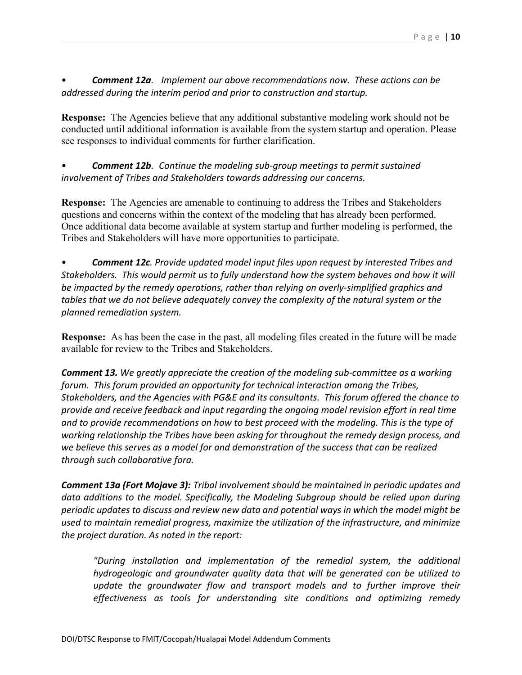• *Comment 12a. Implement our above recommendations now. These actions can be addressed during the interim period and prior to construction and startup.*

**Response:** The Agencies believe that any additional substantive modeling work should not be conducted until additional information is available from the system startup and operation. Please see responses to individual comments for further clarification.

• *Comment 12b. Continue the modeling sub-group meetings to permit sustained involvement of Tribes and Stakeholders towards addressing our concerns.*

**Response:** The Agencies are amenable to continuing to address the Tribes and Stakeholders questions and concerns within the context of the modeling that has already been performed. Once additional data become available at system startup and further modeling is performed, the Tribes and Stakeholders will have more opportunities to participate.

• *Comment 12c. Provide updated model input files upon request by interested Tribes and Stakeholders. This would permit us to fully understand how the system behaves and how it will be impacted by the remedy operations, rather than relying on overly-simplified graphics and tables that we do not believe adequately convey the complexity of the natural system or the planned remediation system.* 

**Response:** As has been the case in the past, all modeling files created in the future will be made available for review to the Tribes and Stakeholders.

*Comment 13. We greatly appreciate the creation of the modeling sub-committee as a working forum. This forum provided an opportunity for technical interaction among the Tribes, Stakeholders, and the Agencies with PG&E and its consultants. This forum offered the chance to provide and receive feedback and input regarding the ongoing model revision effort in real time and to provide recommendations on how to best proceed with the modeling. This is the type of working relationship the Tribes have been asking for throughout the remedy design process, and we believe this serves as a model for and demonstration of the success that can be realized through such collaborative fora.* 

*Comment 13a (Fort Mojave 3): Tribal involvement should be maintained in periodic updates and data additions to the model. Specifically, the Modeling Subgroup should be relied upon during periodic updates to discuss and review new data and potential ways in which the model might be used to maintain remedial progress, maximize the utilization of the infrastructure, and minimize the project duration. As noted in the report:* 

*"During installation and implementation of the remedial system, the additional hydrogeologic and groundwater quality data that will be generated can be utilized to*  update the groundwater flow and transport models and to further improve their *effectiveness as tools for understanding site conditions and optimizing remedy*